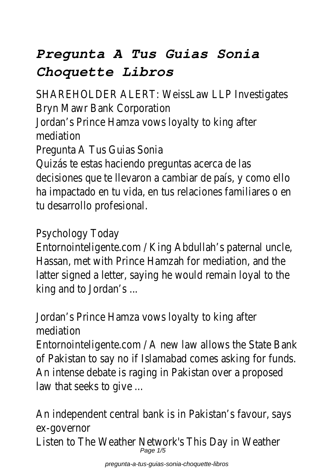# *Pregunta A Tus Guias Sonia Choquette Libros*

SHAREHOLDER ALERT: WeissLaw LLP Investigates Bryn Mawr Bank Corporation

Jordan's Prince Hamza vows loyalty to king after mediation

Pregunta A Tus Guias Sonia

Quizás te estas haciendo preguntas acerca de las decisiones que te llevaron a cambiar de país, y como ello ha impactado en tu vida, en tus relaciones familiares o en tu desarrollo profesional.

#### Psychology Today

Entornointeligente.com / King Abdullah's paternal uncle, Hassan, met with Prince Hamzah for mediation, and the latter signed a letter, saying he would remain loyal to the king and to Jordan's ...

Jordan's Prince Hamza vows loyalty to king after mediation

Entornointeligente.com / A new law allows the State Bank of Pakistan to say no if Islamabad comes asking for funds. An intense debate is raging in Pakistan over a proposed law that seeks to give ...

An independent central bank is in Pakistan's favour, says ex-governor Listen to The Weather Network's This Day in Weather Page 1/5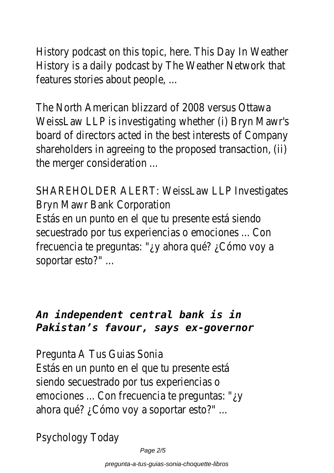History podcast on this topic, here. This Day In Weather History is a daily podcast by The Weather Network that features stories about people, ...

The North American blizzard of 2008 versus Ottawa WeissLaw LLP is investigating whether (i) Bryn Mawr's board of directors acted in the best interests of Company shareholders in agreeing to the proposed transaction, (ii) the merger consideration ...

SHAREHOLDER ALERT: WeissLaw LLP Investigates Bryn Mawr Bank Corporation

Estás en un punto en el que tu presente está siendo secuestrado por tus experiencias o emociones ... Con frecuencia te preguntas: "¿y ahora qué? ¿Cómo voy a soportar esto?" ...

#### *An independent central bank is in Pakistan's favour, says ex-governor*

Pregunta A Tus Guias Sonia

Estás en un punto en el que tu presente está siendo secuestrado por tus experiencias o emociones ... Con frecuencia te preguntas: "¿y ahora qué? ¿Cómo voy a soportar esto?" ...

Psychology Today

Page 2/5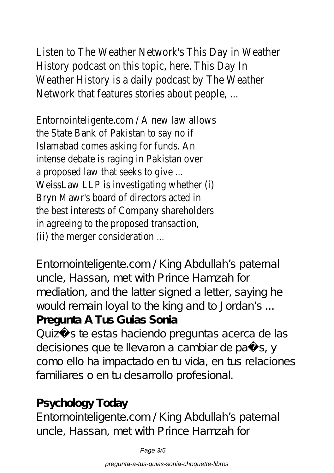# Listen to The Weather Network's This Day in Weather

History podcast on this topic, here. This Day In Weather History is a daily podcast by The Weather Network that features stories about people, ...

Entornointeligente.com / A new law allows the State Bank of Pakistan to say no if Islamabad comes asking for funds. An intense debate is raging in Pakistan over a proposed law that seeks to give ... WeissLaw LLP is investigating whether (i) Bryn Mawr's board of directors acted in the best interests of Company shareholders in agreeing to the proposed transaction, (ii) the merger consideration ...

Entornointeligente.com / King Abdullah's paternal uncle, Hassan, met with Prince Hamzah for mediation, and the latter signed a letter, saying he would remain loyal to the king and to Jordan's ... **Pregunta A Tus Guias Sonia**

Quizás te estas haciendo preguntas acerca de las decisiones que te llevaron a cambiar de país, y como ello ha impactado en tu vida, en tus relaciones familiares o en tu desarrollo profesional.

# **Psychology Today**

Entornointeligente.com / King Abdullah's paternal uncle, Hassan, met with Prince Hamzah for

Page 3/5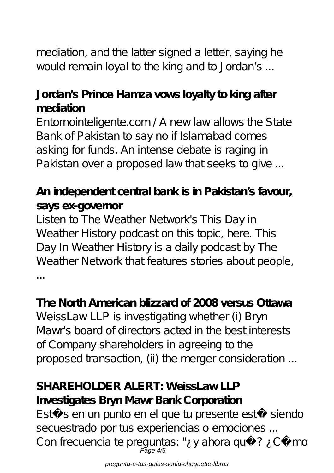mediation, and the latter signed a letter, saying he would remain loyal to the king and to Jordan's ...

# **Jordan's Prince Hamza vows loyalty to king after mediation**

Entornointeligente.com / A new law allows the State Bank of Pakistan to say no if Islamabad comes asking for funds. An intense debate is raging in Pakistan over a proposed law that seeks to give ...

## **An independent central bank is in Pakistan's favour, says ex-governor**

Listen to The Weather Network's This Day in Weather History podcast on this topic, here. This Day In Weather History is a daily podcast by The Weather Network that features stories about people, ...

### **The North American blizzard of 2008 versus Ottawa**

WeissLaw LLP is investigating whether (i) Bryn Mawr's board of directors acted in the best interests of Company shareholders in agreeing to the proposed transaction, (ii) the merger consideration ...

#### SHARFHOLDER ALERT: WeissLaw LLP **Investigates Bryn Mawr Bank Corporation**

Estás en un punto en el que tu presente está siendo secuestrado por tus experiencias o emociones ... Con frecuencia te preguntas: "¿y ahora qué? ¿Cómo Page 4/5